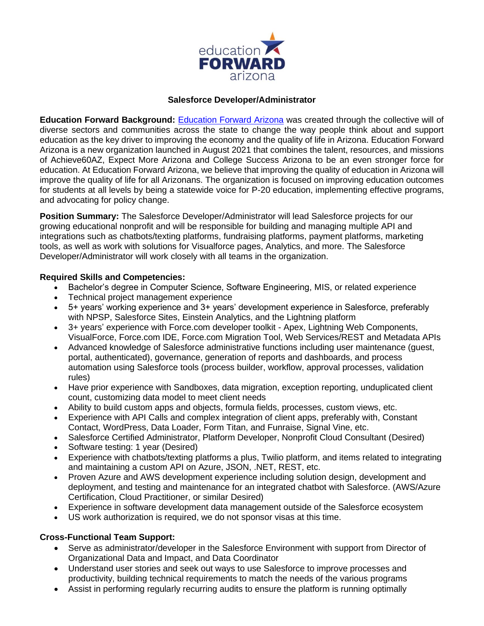

## **Salesforce Developer/Administrator**

**Education Forward Background:** [Education Forward Arizona](https://educationforwardarizona.org/) was created through the collective will of diverse sectors and communities across the state to change the way people think about and support education as the key driver to improving the economy and the quality of life in Arizona. Education Forward Arizona is a new organization launched in August 2021 that combines the talent, resources, and missions of Achieve60AZ, Expect More Arizona and College Success Arizona to be an even stronger force for education. At Education Forward Arizona, we believe that improving the quality of education in Arizona will improve the quality of life for all Arizonans. The organization is focused on improving education outcomes for students at all levels by being a statewide voice for P-20 education, implementing effective programs, and advocating for policy change.

**Position Summary:** The Salesforce Developer/Administrator will lead Salesforce projects for our growing educational nonprofit and will be responsible for building and managing multiple API and integrations such as chatbots/texting platforms, fundraising platforms, payment platforms, marketing tools, as well as work with solutions for Visualforce pages, Analytics, and more. The Salesforce Developer/Administrator will work closely with all teams in the organization.

### **Required Skills and Competencies:**

- Bachelor's degree in Computer Science, Software Engineering, MIS, or related experience
- Technical project management experience
- 5+ years' working experience and 3+ years' development experience in Salesforce, preferably with NPSP, Salesforce Sites, Einstein Analytics, and the Lightning platform
- 3+ years' experience with Force.com developer toolkit Apex, Lightning Web Components, VisualForce, Force.com IDE, Force.com Migration Tool, Web Services/REST and Metadata APIs
- Advanced knowledge of Salesforce administrative functions including user maintenance (guest, portal, authenticated), governance, generation of reports and dashboards, and process automation using Salesforce tools (process builder, workflow, approval processes, validation rules)
- Have prior experience with Sandboxes, data migration, exception reporting, unduplicated client count, customizing data model to meet client needs
- Ability to build custom apps and objects, formula fields, processes, custom views, etc.
- Experience with API Calls and complex integration of client apps, preferably with, Constant Contact, WordPress, Data Loader, Form Titan, and Funraise, Signal Vine, etc.
- Salesforce Certified Administrator, Platform Developer, Nonprofit Cloud Consultant (Desired)
- Software testing: 1 year (Desired)
- Experience with chatbots/texting platforms a plus, Twilio platform, and items related to integrating and maintaining a custom API on Azure, JSON, .NET, REST, etc.
- Proven Azure and AWS development experience including solution design, development and deployment, and testing and maintenance for an integrated chatbot with Salesforce. (AWS/Azure Certification, Cloud Practitioner, or similar Desired)
- Experience in software development data management outside of the Salesforce ecosystem
- US work authorization is required, we do not sponsor visas at this time.

## **Cross-Functional Team Support:**

- Serve as administrator/developer in the Salesforce Environment with support from Director of Organizational Data and Impact, and Data Coordinator
- Understand user stories and seek out ways to use Salesforce to improve processes and productivity, building technical requirements to match the needs of the various programs
- Assist in performing regularly recurring audits to ensure the platform is running optimally